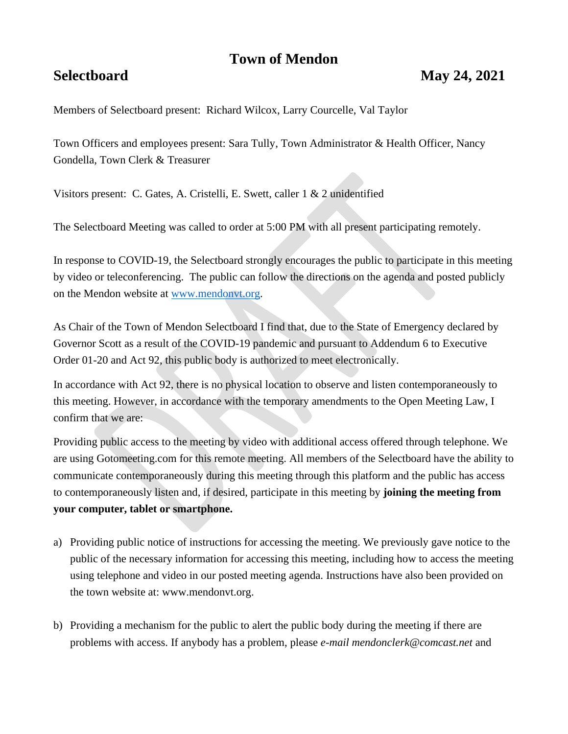# **Town of Mendon**

# **Selectboard May 24, 2021**

Members of Selectboard present: Richard Wilcox, Larry Courcelle, Val Taylor

Town Officers and employees present: Sara Tully, Town Administrator & Health Officer, Nancy Gondella, Town Clerk & Treasurer

Visitors present: C. Gates, A. Cristelli, E. Swett, caller 1 & 2 unidentified

The Selectboard Meeting was called to order at 5:00 PM with all present participating remotely.

In response to COVID-19, the Selectboard strongly encourages the public to participate in this meeting by video or teleconferencing. The public can follow the directions on the agenda and posted publicly on the Mendon website at [www.mendonvt.org.](http://www.mendonvt.org/)

As Chair of the Town of Mendon Selectboard I find that, due to the State of Emergency declared by Governor Scott as a result of the COVID-19 pandemic and pursuant to Addendum 6 to Executive Order 01-20 and Act 92, this public body is authorized to meet electronically.

In accordance with Act 92, there is no physical location to observe and listen contemporaneously to this meeting. However, in accordance with the temporary amendments to the Open Meeting Law, I confirm that we are:

Providing public access to the meeting by video with additional access offered through telephone. We are using Gotomeeting.com for this remote meeting. All members of the Selectboard have the ability to communicate contemporaneously during this meeting through this platform and the public has access to contemporaneously listen and, if desired, participate in this meeting by **joining the meeting from your computer, tablet or smartphone.** 

- a) Providing public notice of instructions for accessing the meeting. We previously gave notice to the public of the necessary information for accessing this meeting, including how to access the meeting using telephone and video in our posted meeting agenda. Instructions have also been provided on the town website at: www.mendonvt.org.
- b) Providing a mechanism for the public to alert the public body during the meeting if there are problems with access. If anybody has a problem, please *e-mail mendonclerk@comcast.net* and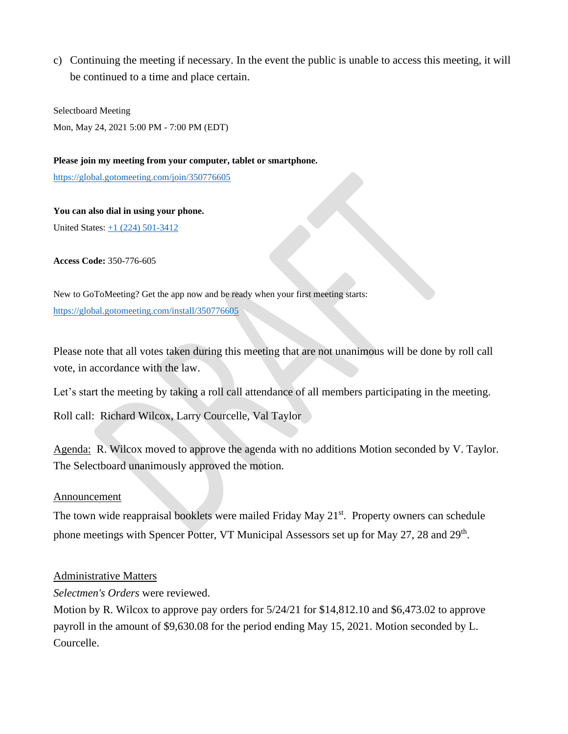c) Continuing the meeting if necessary. In the event the public is unable to access this meeting, it will be continued to a time and place certain.

Selectboard Meeting Mon, May 24, 2021 5:00 PM - 7:00 PM (EDT)

### **Please join my meeting from your computer, tablet or smartphone.**

<https://global.gotomeeting.com/join/350776605>

**You can also dial in using your phone.** United States: [+1 \(224\) 501-3412](tel:+12245013412,,350776605)

**Access Code:** 350-776-605

New to GoToMeeting? Get the app now and be ready when your first meeting starts: <https://global.gotomeeting.com/install/350776605>

Please note that all votes taken during this meeting that are not unanimous will be done by roll call vote, in accordance with the law.

Let's start the meeting by taking a roll call attendance of all members participating in the meeting.

Roll call: Richard Wilcox, Larry Courcelle, Val Taylor

Agenda: R. Wilcox moved to approve the agenda with no additions Motion seconded by V. Taylor. The Selectboard unanimously approved the motion.

#### Announcement

The town wide reappraisal booklets were mailed Friday May 21<sup>st</sup>. Property owners can schedule phone meetings with Spencer Potter, VT Municipal Assessors set up for May 27, 28 and 29<sup>th</sup>.

# Administrative Matters

*Selectmen's Orders* were reviewed.

Motion by R. Wilcox to approve pay orders for 5/24/21 for \$14,812.10 and \$6,473.02 to approve payroll in the amount of \$9,630.08 for the period ending May 15, 2021. Motion seconded by L. Courcelle.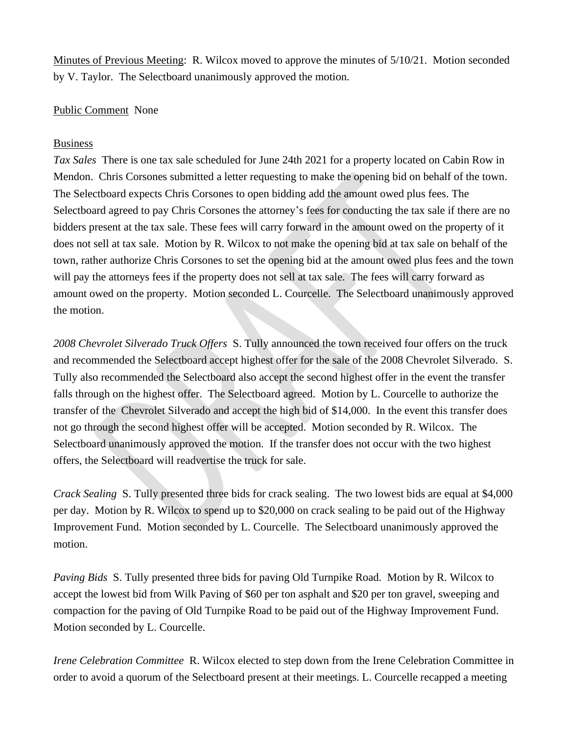Minutes of Previous Meeting: R. Wilcox moved to approve the minutes of 5/10/21. Motion seconded by V. Taylor. The Selectboard unanimously approved the motion.

# Public Comment None

# Business

*Tax Sales* There is one tax sale scheduled for June 24th 2021 for a property located on Cabin Row in Mendon. Chris Corsones submitted a letter requesting to make the opening bid on behalf of the town. The Selectboard expects Chris Corsones to open bidding add the amount owed plus fees. The Selectboard agreed to pay Chris Corsones the attorney's fees for conducting the tax sale if there are no bidders present at the tax sale. These fees will carry forward in the amount owed on the property of it does not sell at tax sale. Motion by R. Wilcox to not make the opening bid at tax sale on behalf of the town, rather authorize Chris Corsones to set the opening bid at the amount owed plus fees and the town will pay the attorneys fees if the property does not sell at tax sale. The fees will carry forward as amount owed on the property. Motion seconded L. Courcelle. The Selectboard unanimously approved the motion.

*2008 Chevrolet Silverado Truck Offers* S. Tully announced the town received four offers on the truck and recommended the Selectboard accept highest offer for the sale of the 2008 Chevrolet Silverado. S. Tully also recommended the Selectboard also accept the second highest offer in the event the transfer falls through on the highest offer. The Selectboard agreed. Motion by L. Courcelle to authorize the transfer of the Chevrolet Silverado and accept the high bid of \$14,000. In the event this transfer does not go through the second highest offer will be accepted. Motion seconded by R. Wilcox. The Selectboard unanimously approved the motion. If the transfer does not occur with the two highest offers, the Selectboard will readvertise the truck for sale.

*Crack Sealing* S. Tully presented three bids for crack sealing. The two lowest bids are equal at \$4,000 per day. Motion by R. Wilcox to spend up to \$20,000 on crack sealing to be paid out of the Highway Improvement Fund. Motion seconded by L. Courcelle. The Selectboard unanimously approved the motion.

*Paving Bids* S. Tully presented three bids for paving Old Turnpike Road. Motion by R. Wilcox to accept the lowest bid from Wilk Paving of \$60 per ton asphalt and \$20 per ton gravel, sweeping and compaction for the paving of Old Turnpike Road to be paid out of the Highway Improvement Fund. Motion seconded by L. Courcelle.

*Irene Celebration Committee* R. Wilcox elected to step down from the Irene Celebration Committee in order to avoid a quorum of the Selectboard present at their meetings. L. Courcelle recapped a meeting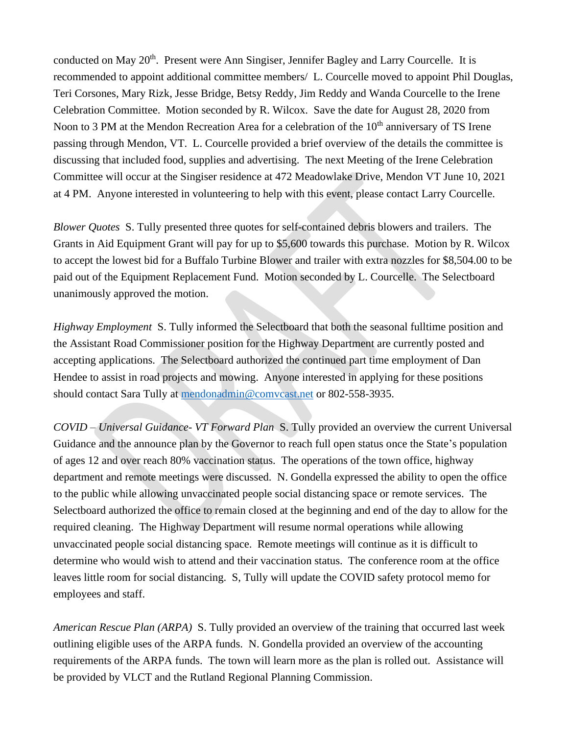conducted on May 20<sup>th</sup>. Present were Ann Singiser, Jennifer Bagley and Larry Courcelle. It is recommended to appoint additional committee members/ L. Courcelle moved to appoint Phil Douglas, Teri Corsones, Mary Rizk, Jesse Bridge, Betsy Reddy, Jim Reddy and Wanda Courcelle to the Irene Celebration Committee. Motion seconded by R. Wilcox. Save the date for August 28, 2020 from Noon to 3 PM at the Mendon Recreation Area for a celebration of the 10<sup>th</sup> anniversary of TS Irene passing through Mendon, VT. L. Courcelle provided a brief overview of the details the committee is discussing that included food, supplies and advertising. The next Meeting of the Irene Celebration Committee will occur at the Singiser residence at 472 Meadowlake Drive, Mendon VT June 10, 2021 at 4 PM. Anyone interested in volunteering to help with this event, please contact Larry Courcelle.

*Blower Quotes* S. Tully presented three quotes for self-contained debris blowers and trailers. The Grants in Aid Equipment Grant will pay for up to \$5,600 towards this purchase. Motion by R. Wilcox to accept the lowest bid for a Buffalo Turbine Blower and trailer with extra nozzles for \$8,504.00 to be paid out of the Equipment Replacement Fund. Motion seconded by L. Courcelle. The Selectboard unanimously approved the motion.

*Highway Employment* S. Tully informed the Selectboard that both the seasonal fulltime position and the Assistant Road Commissioner position for the Highway Department are currently posted and accepting applications. The Selectboard authorized the continued part time employment of Dan Hendee to assist in road projects and mowing. Anyone interested in applying for these positions should contact Sara Tully at [mendonadmin@comvcast.net](mailto:mendonadmin@comvcast.net) or 802-558-3935.

*COVID – Universal Guidance- VT Forward Plan* S. Tully provided an overview the current Universal Guidance and the announce plan by the Governor to reach full open status once the State's population of ages 12 and over reach 80% vaccination status. The operations of the town office, highway department and remote meetings were discussed. N. Gondella expressed the ability to open the office to the public while allowing unvaccinated people social distancing space or remote services. The Selectboard authorized the office to remain closed at the beginning and end of the day to allow for the required cleaning. The Highway Department will resume normal operations while allowing unvaccinated people social distancing space. Remote meetings will continue as it is difficult to determine who would wish to attend and their vaccination status. The conference room at the office leaves little room for social distancing. S, Tully will update the COVID safety protocol memo for employees and staff.

*American Rescue Plan (ARPA)* S. Tully provided an overview of the training that occurred last week outlining eligible uses of the ARPA funds. N. Gondella provided an overview of the accounting requirements of the ARPA funds. The town will learn more as the plan is rolled out. Assistance will be provided by VLCT and the Rutland Regional Planning Commission.